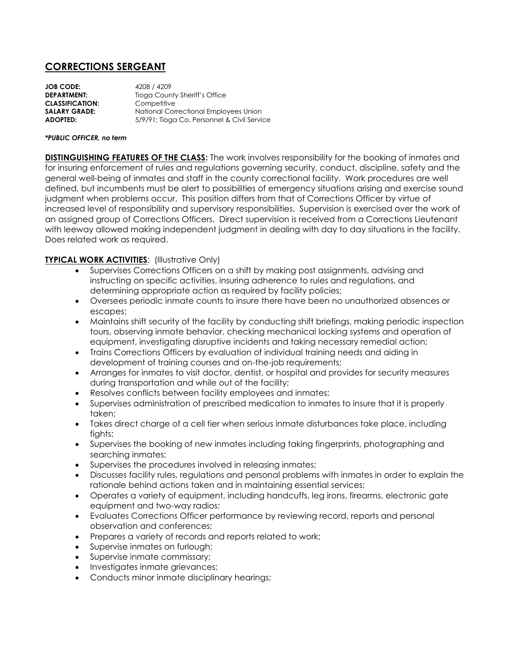# **CORRECTIONS SERGEANT**

**JOB CODE:** 4208 / 4209 **DEPARTMENT:** Tioga County Sheriff's Office **CLASSIFICATION:** Competitive **SALARY GRADE:** National Correctional Employees Union **ADOPTED:** 5/9/91; Tioga Co. Personnel & Civil Service

#### *\*PUBLIC OFFICER, no term*

**DISTINGUISHING FEATURES OF THE CLASS:** The work involves responsibility for the booking of inmates and for insuring enforcement of rules and regulations governing security, conduct, discipline, safety and the general well-being of inmates and staff in the county correctional facility. Work procedures are well defined, but incumbents must be alert to possibilities of emergency situations arising and exercise sound judgment when problems occur. This position differs from that of Corrections Officer by virtue of increased level of responsibility and supervisory responsibilities. Supervision is exercised over the work of an assigned group of Corrections Officers. Direct supervision is received from a Corrections Lieutenant with leeway allowed making independent judgment in dealing with day to day situations in the facility. Does related work as required.

### **TYPICAL WORK ACTIVITIES: (Illustrative Only)**

- Supervises Corrections Officers on a shift by making post assignments, advising and instructing on specific activities, insuring adherence to rules and regulations, and determining appropriate action as required by facility policies;
- Oversees periodic inmate counts to insure there have been no unauthorized absences or escapes;
- Maintains shift security of the facility by conducting shift briefings, making periodic inspection tours, observing inmate behavior, checking mechanical locking systems and operation of equipment, investigating disruptive incidents and taking necessary remedial action;
- Trains Corrections Officers by evaluation of individual training needs and aiding in development of training courses and on-the-job requirements;
- Arranges for inmates to visit doctor, dentist, or hospital and provides for security measures during transportation and while out of the facility;
- Resolves conflicts between facility employees and inmates;
- Supervises administration of prescribed medication to inmates to insure that it is properly taken;
- Takes direct charge of a cell tier when serious inmate disturbances take place, including fights;
- Supervises the booking of new inmates including taking fingerprints, photographing and searching inmates;
- Supervises the procedures involved in releasing inmates;
- Discusses facility rules, regulations and personal problems with inmates in order to explain the rationale behind actions taken and in maintaining essential services;
- Operates a variety of equipment, including handcuffs, leg irons, firearms, electronic gate equipment and two-way radios;
- Evaluates Corrections Officer performance by reviewing record, reports and personal observation and conferences;
- Prepares a variety of records and reports related to work;
- Supervise inmates on furlough;
- Supervise inmate commissary;
- Investigates inmate grievances;
- Conducts minor inmate disciplinary hearings;